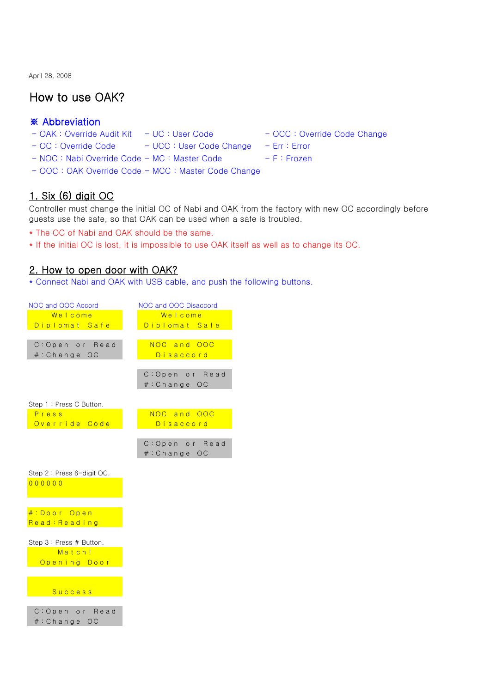April 28, 2008

# **How to use OAK?**

### **※ Abbreviation**

- OAK : Override Audit Kit UC : User Code - OCC : Override Code Change
	-
- OC : Override Code UCC : User Code Change Err : Error
- NOC : Nabi Override Code MC : Master Code F : Frozen
- OOC : OAK Override Code MCC : Master Code Change

## **1. Six (6) digit OC**

Controller must change the initial OC of Nabi and OAK from the factory with new OC accordingly before guests use the safe, so that OAK can be used when a safe is troubled.

- \* The OC of Nabi and OAK should be the same.
- \* If the initial OC is lost, it is impossible to use OAK itself as well as to change its OC.

#### **2. How to open door with OAK?**

\* Connect Nabi and OAK with USB cable, and push the following buttons.

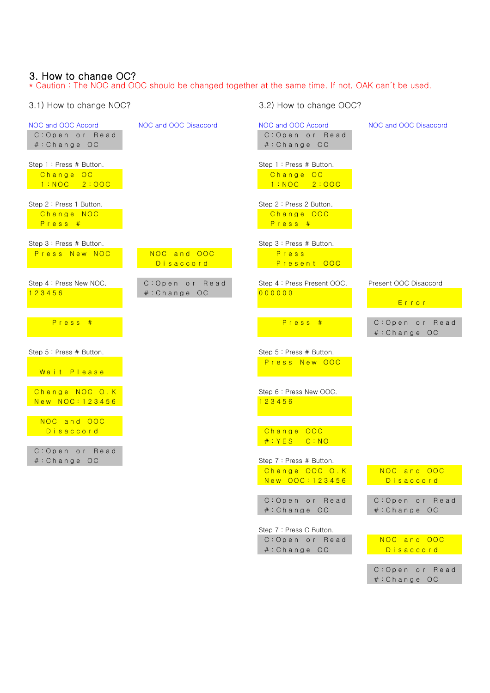### **3. How to change OC?**

\* Caution : The NOC and OOC should be changed together at the same time. If not, OAK can't be used.

| 3.1) How to change NOC?                                 |                          | 3.2) How to change OOC?                                 |                                 |
|---------------------------------------------------------|--------------------------|---------------------------------------------------------|---------------------------------|
| NOC and OOC Accord<br>C: Open or Read<br>#: Change OC   | NOC and OOC Disaccord    | NOC and OOC Accord<br>C: Open or Read<br>#: Change OC   | NOC and OOC Disaccord           |
| Step 1: Press # Button.<br>Change OC<br>$1:NOC$ $2:OOC$ |                          | Step 1: Press # Button.<br>Change OC<br>$1:NOC$ $2:OOC$ |                                 |
| Step 2: Press 1 Button.<br>Change NOC<br>Press #        |                          | Step 2: Press 2 Button.<br>Change OOC<br>Press #        |                                 |
| Step 3: Press # Button.<br>Press New NOC                | NOC and OOC<br>Disaccord | Step 3: Press # Button.<br>Press<br>Present OOC         |                                 |
| Step 4 : Press New NOC.                                 | C: Open or Read          | Step 4: Press Present OOC.                              | Present OOC Disaccord           |
| 123456                                                  | #: Change OC             | 000000                                                  | Error                           |
| Press #                                                 |                          | Press #                                                 | C: Open or Read<br>#: Change OC |
| Step 5 : Press # Button.<br>Wait Please                 |                          | Step 5 : Press # Button.<br>Press New OOC               |                                 |
| Change NOC O.K<br>New NOC: 123456                       |                          | Step 6 : Press New OOC.<br>123456                       |                                 |
| NOC and OOC<br>Disaccord<br>C: Open or Read             |                          | Change OOC<br>$#:YES$ $C:NO$                            |                                 |
| #: Change OC                                            |                          | Step 7: Press # Button.                                 |                                 |
|                                                         |                          | Change OOC O.K<br>New OOC: 123456                       | NOC and OOC<br>Disaccord        |
|                                                         |                          | C: Open or Read<br>#: Change OC                         | C: Open or Read<br>#: Change OC |
|                                                         |                          | Step 7: Press C Button.                                 |                                 |
|                                                         |                          | C: Open or Read<br>#: Change OC                         | NOC and OOC<br>Disaccord        |
|                                                         |                          |                                                         |                                 |

C: Open or Read # : Change OC